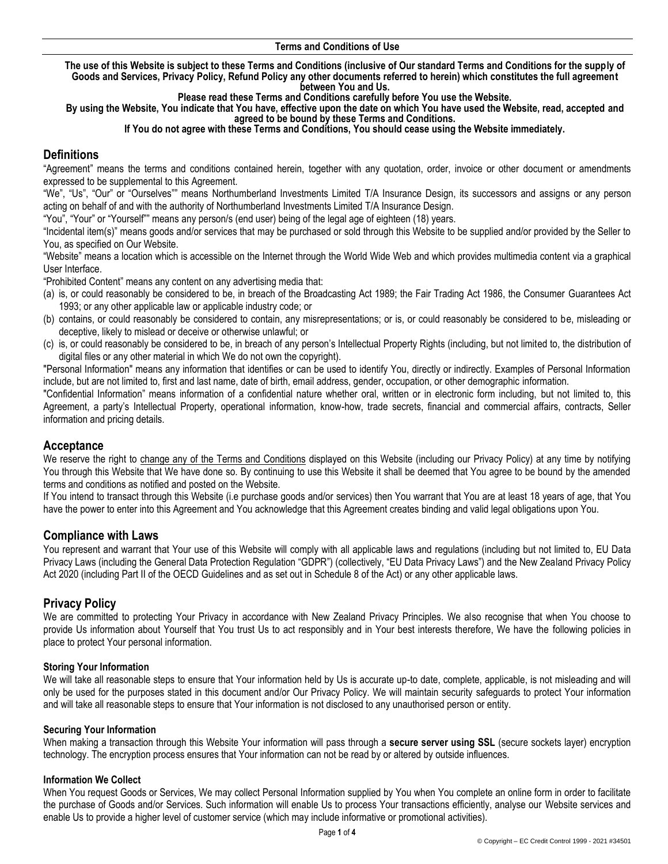#### **Terms and Conditions of Use**

**The use of this Website is subject to these Terms and Conditions (inclusive of Our standard Terms and Conditions for the supply of Goods and Services, Privacy Policy, Refund Policy any other documents referred to herein) which constitutes the full agreement between You and Us.** 

**Please read these Terms and Conditions carefully before You use the Website.** 

**By using the Website, You indicate that You have, effective upon the date on which You have used the Website, read, accepted and agreed to be bound by these Terms and Conditions.**

#### **If You do not agree with these Terms and Conditions, You should cease using the Website immediately.**

# **Definitions**

"Agreement" means the terms and conditions contained herein, together with any quotation, order, invoice or other document or amendments expressed to be supplemental to this Agreement.

"We", "Us", "Our" or "Ourselves"" means Northumberland Investments Limited T/A Insurance Design, its successors and assigns or any person acting on behalf of and with the authority of Northumberland Investments Limited T/A Insurance Design.

"You", "Your" or "Yourself"" means any person/s (end user) being of the legal age of eighteen (18) years.

"Incidental item(s)" means goods and/or services that may be purchased or sold through this Website to be supplied and/or provided by the Seller to You, as specified on Our Website.

"Website" means a location which is accessible on the Internet through the World Wide Web and which provides multimedia content via a graphical User Interface.

"Prohibited Content" means any content on any advertising media that:

- (a) is, or could reasonably be considered to be, in breach of the Broadcasting Act 1989; the Fair Trading Act 1986, the Consumer Guarantees Act 1993; or any other applicable law or applicable industry code; or
- (b) contains, or could reasonably be considered to contain, any misrepresentations; or is, or could reasonably be considered to be, misleading or deceptive, likely to mislead or deceive or otherwise unlawful; or
- (c) is, or could reasonably be considered to be, in breach of any person's Intellectual Property Rights (including, but not limited to, the distribution of digital files or any other material in which We do not own the copyright).

"Personal Information" means any information that identifies or can be used to identify You, directly or indirectly. Examples of Personal Information include, but are not limited to, first and last name, date of birth, email address, gender, occupation, or other demographic information.

"Confidential Information" means information of a confidential nature whether oral, written or in electronic form including, but not limited to, this Agreement, a party's Intellectual Property, operational information, know-how, trade secrets, financial and commercial affairs, contracts, Seller information and pricing details.

### **Acceptance**

We reserve the right to change any of the Terms and Conditions displayed on this Website (including our Privacy Policy) at any time by notifying You through this Website that We have done so. By continuing to use this Website it shall be deemed that You agree to be bound by the amended terms and conditions as notified and posted on the Website.

If You intend to transact through this Website (i.e purchase goods and/or services) then You warrant that You are at least 18 years of age, that You have the power to enter into this Agreement and You acknowledge that this Agreement creates binding and valid legal obligations upon You.

### **Compliance with Laws**

You represent and warrant that Your use of this Website will comply with all applicable laws and regulations (including but not limited to, EU Data Privacy Laws (including the General Data Protection Regulation "GDPR") (collectively, "EU Data Privacy Laws") and the New Zealand Privacy Policy Act 2020 (including Part II of the OECD Guidelines and as set out in Schedule 8 of the Act) or any other applicable laws.

# **Privacy Policy**

We are committed to protecting Your Privacy in accordance with New Zealand Privacy Principles. We also recognise that when You choose to provide Us information about Yourself that You trust Us to act responsibly and in Your best interests therefore, We have the following policies in place to protect Your personal information.

#### **Storing Your Information**

We will take all reasonable steps to ensure that Your information held by Us is accurate up-to date, complete, applicable, is not misleading and will only be used for the purposes stated in this document and/or Our Privacy Policy. We will maintain security safeguards to protect Your information and will take all reasonable steps to ensure that Your information is not disclosed to any unauthorised person or entity.

#### **Securing Your Information**

When making a transaction through this Website Your information will pass through a **secure server using SSL** (secure sockets layer) encryption technology. The encryption process ensures that Your information can not be read by or altered by outside influences.

#### **Information We Collect**

When You request Goods or Services, We may collect Personal Information supplied by You when You complete an online form in order to facilitate the purchase of Goods and/or Services. Such information will enable Us to process Your transactions efficiently, analyse our Website services and enable Us to provide a higher level of customer service (which may include informative or promotional activities).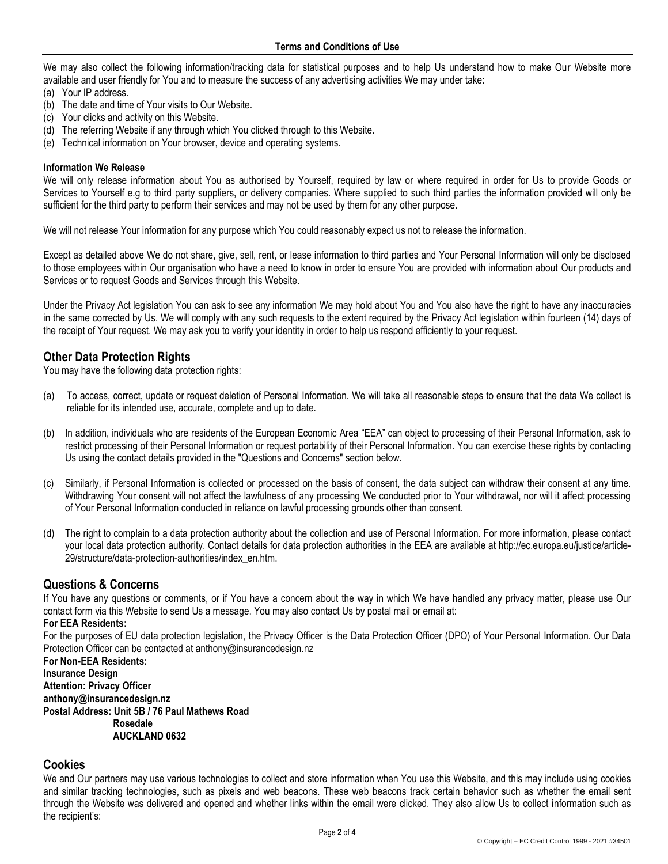We may also collect the following information/tracking data for statistical purposes and to help Us understand how to make Our Website more available and user friendly for You and to measure the success of any advertising activities We may under take:

- (a) Your IP address.
- (b) The date and time of Your visits to Our Website.
- (c) Your clicks and activity on this Website.
- (d) The referring Website if any through which You clicked through to this Website.
- (e) Technical information on Your browser, device and operating systems.

#### **Information We Release**

We will only release information about You as authorised by Yourself, required by law or where required in order for Us to provide Goods or Services to Yourself e.g to third party suppliers, or delivery companies. Where supplied to such third parties the information provided will only be sufficient for the third party to perform their services and may not be used by them for any other purpose.

We will not release Your information for any purpose which You could reasonably expect us not to release the information.

Except as detailed above We do not share, give, sell, rent, or lease information to third parties and Your Personal Information will only be disclosed to those employees within Our organisation who have a need to know in order to ensure You are provided with information about Our products and Services or to request Goods and Services through this Website.

Under the Privacy Act legislation You can ask to see any information We may hold about You and You also have the right to have any inaccuracies in the same corrected by Us. We will comply with any such requests to the extent required by the Privacy Act legislation within fourteen (14) days of the receipt of Your request. We may ask you to verify your identity in order to help us respond efficiently to your request.

### **Other Data Protection Rights**

You may have the following data protection rights:

- (a) To access, correct, update or request deletion of Personal Information. We will take all reasonable steps to ensure that the data We collect is reliable for its intended use, accurate, complete and up to date.
- (b) In addition, individuals who are residents of the European Economic Area "EEA" can object to processing of their Personal Information, ask to restrict processing of their Personal Information or request portability of their Personal Information. You can exercise these rights by contacting Us using the contact details provided in the "Questions and Concerns" section below.
- (c) Similarly, if Personal Information is collected or processed on the basis of consent, the data subject can withdraw their consent at any time. Withdrawing Your consent will not affect the lawfulness of any processing We conducted prior to Your withdrawal, nor will it affect processing of Your Personal Information conducted in reliance on lawful processing grounds other than consent.
- (d) The right to complain to a data protection authority about the collection and use of Personal Information. For more information, please contact your local data protection authority. Contact details for data protection authorities in the EEA are available at http://ec.europa.eu/justice/article-29/structure/data-protection-authorities/index\_en.htm.

# **Questions & Concerns**

If You have any questions or comments, or if You have a concern about the way in which We have handled any privacy matter, please use Our [contact form](https://mailchimp.com/contact/) via this Website to send Us a message. You may also contact Us by postal mail or email at:

### **For EEA Residents:**

For the purposes of EU data protection legislation, the Privacy Officer is the Data Protection Officer (DPO) of Your Personal Information. Our Data Protection Officer can be contacted at anthony@insurancedesign.nz

**For Non-EEA Residents: Insurance Design Attention: Privacy Officer anthony@insurancedesign.nz Postal Address: Unit 5B / 76 Paul Mathews Road Rosedale AUCKLAND 0632**

### **Cookies**

We and Our partners may use various technologies to collect and store information when You use this Website, and this may include using cookies and similar tracking technologies, such as pixels and web beacons. These web beacons track certain behavior such as whether the email sent through the Website was delivered and opened and whether links within the email were clicked. They also allow Us to collect information such as the recipient's: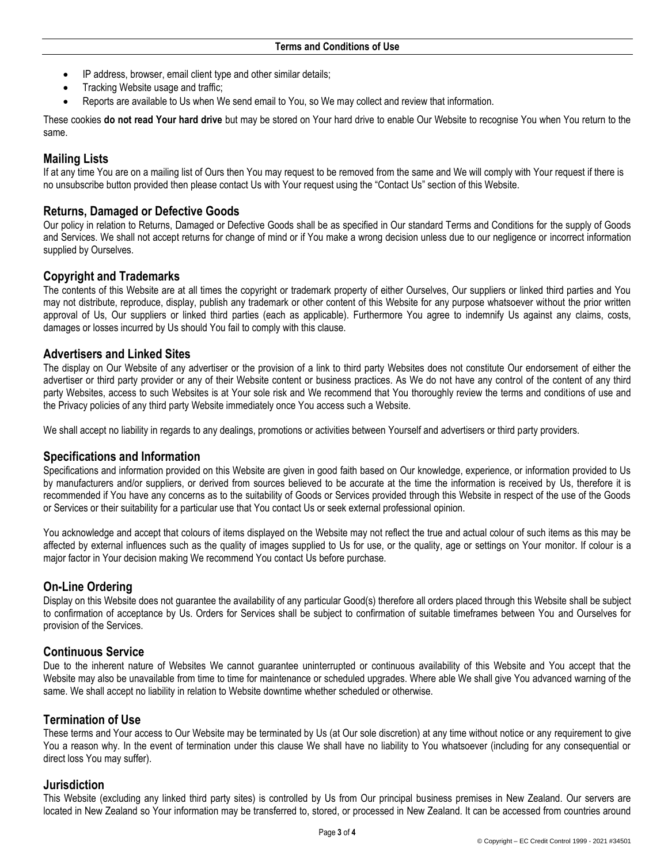- IP address, browser, email client type and other similar details;
- Tracking Website usage and traffic;
- Reports are available to Us when We send email to You, so We may collect and review that information.

These cookies **do not read Your hard drive** but may be stored on Your hard drive to enable Our Website to recognise You when You return to the same.

# **Mailing Lists**

If at any time You are on a mailing list of Ours then You may request to be removed from the same and We will comply with Your request if there is no unsubscribe button provided then please contact Us with Your request using the "Contact Us" section of this Website.

### **Returns, Damaged or Defective Goods**

Our policy in relation to Returns, Damaged or Defective Goods shall be as specified in Our standard Terms and Conditions for the supply of Goods and Services. We shall not accept returns for change of mind or if You make a wrong decision unless due to our negligence or incorrect information supplied by Ourselves.

## **Copyright and Trademarks**

The contents of this Website are at all times the copyright or trademark property of either Ourselves, Our suppliers or linked third parties and You may not distribute, reproduce, display, publish any trademark or other content of this Website for any purpose whatsoever without the prior written approval of Us, Our suppliers or linked third parties (each as applicable). Furthermore You agree to indemnify Us against any claims, costs, damages or losses incurred by Us should You fail to comply with this clause.

## **Advertisers and Linked Sites**

The display on Our Website of any advertiser or the provision of a link to third party Websites does not constitute Our endorsement of either the advertiser or third party provider or any of their Website content or business practices. As We do not have any control of the content of any third party Websites, access to such Websites is at Your sole risk and We recommend that You thoroughly review the terms and conditions of use and the Privacy policies of any third party Website immediately once You access such a Website.

We shall accept no liability in regards to any dealings, promotions or activities between Yourself and advertisers or third party providers.

### **Specifications and Information**

Specifications and information provided on this Website are given in good faith based on Our knowledge, experience, or information provided to Us by manufacturers and/or suppliers, or derived from sources believed to be accurate at the time the information is received by Us, therefore it is recommended if You have any concerns as to the suitability of Goods or Services provided through this Website in respect of the use of the Goods or Services or their suitability for a particular use that You contact Us or seek external professional opinion.

You acknowledge and accept that colours of items displayed on the Website may not reflect the true and actual colour of such items as this may be affected by external influences such as the quality of images supplied to Us for use, or the quality, age or settings on Your monitor. If colour is a major factor in Your decision making We recommend You contact Us before purchase.

# **On-Line Ordering**

Display on this Website does not guarantee the availability of any particular Good(s) therefore all orders placed through this Website shall be subject to confirmation of acceptance by Us. Orders for Services shall be subject to confirmation of suitable timeframes between You and Ourselves for provision of the Services.

### **Continuous Service**

Due to the inherent nature of Websites We cannot guarantee uninterrupted or continuous availability of this Website and You accept that the Website may also be unavailable from time to time for maintenance or scheduled upgrades. Where able We shall give You advanced warning of the same. We shall accept no liability in relation to Website downtime whether scheduled or otherwise.

## **Termination of Use**

These terms and Your access to Our Website may be terminated by Us (at Our sole discretion) at any time without notice or any requirement to give You a reason why. In the event of termination under this clause We shall have no liability to You whatsoever (including for any consequential or direct loss You may suffer).

### **Jurisdiction**

This Website (excluding any linked third party sites) is controlled by Us from Our principal business premises in New Zealand. Our servers are located in New Zealand so Your information may be transferred to, stored, or processed in New Zealand. It can be accessed from countries around